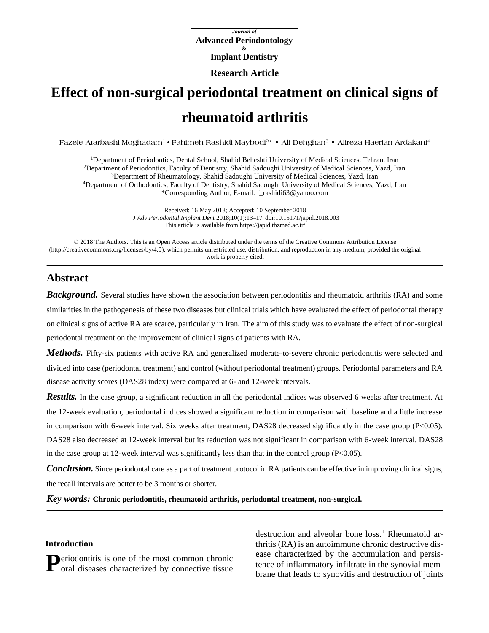*Journal of* **Advanced Periodontology & Implant Dentistry**

**Research Article**

# **Effect of non-surgical periodontal treatment on clinical signs of rheumatoid arthritis**

**Fazele Atarbashi-Moghadam<sup>1</sup> • Fahimeh Rashidi Maybodi<sup>2</sup> \* • Ali Dehghan<sup>3</sup> • Alireza Haerian Ardakani<sup>4</sup>**

Department of Periodontics, Dental School, Shahid Beheshti University of Medical Sciences, Tehran, Iran Department of Periodontics, Faculty of Dentistry, Shahid Sadoughi University of Medical Sciences, Yazd, Iran Department of Rheumatology, Shahid Sadoughi University of Medical Sciences, Yazd, Iran Department of Orthodontics, Faculty of Dentistry, Shahid Sadoughi University of Medical Sciences, Yazd, Iran \*Corresponding Author; E-mail: [f\\_rashidi63@yahoo.com](mailto:f_rashidi63@yahoo.com)

> Received: 16 May 2018; Accepted: 10 September 2018 *J Adv Periodontal Implant Dent* 2018;10(1):13–17[| doi:10.15171/japid.2018.003](http://dx.doi.org/10.15171/japid.2018.003) This article is available fro[m https://japid.tbzmed.ac.ir/](https://japid.tbzmed.ac.ir/)

© 2018 The Authors. This is an Open Access article distributed under the terms of the Creative Commons Attribution License [\(http://creativecommons.org/licenses/by/4.0\)](http://creativecommons.org/licenses/by/4.0), which permits unrestricted use, distribution, and reproduction in any medium, provided the original work is properly cited.

## **Abstract**

*Background.* Several studies have shown the association between periodontitis and rheumatoid arthritis (RA) and some similarities in the pathogenesis of these two diseases but clinical trials which have evaluated the effect of periodontal therapy on clinical signs of active RA are scarce, particularly in Iran. The aim of this study was to evaluate the effect of non-surgical periodontal treatment on the improvement of clinical signs of patients with RA.

*Methods.* Fifty-six patients with active RA and generalized moderate-to-severe chronic periodontitis were selected and divided into case (periodontal treatment) and control (without periodontal treatment) groups. Periodontal parameters and RA disease activity scores (DAS28 index) were compared at 6- and 12-week intervals.

*Results.* In the case group, a significant reduction in all the periodontal indices was observed 6 weeks after treatment. At the 12-week evaluation, periodontal indices showed a significant reduction in comparison with baseline and a little increase in comparison with 6-week interval. Six weeks after treatment, DAS28 decreased significantly in the case group (P<0.05). DAS28 also decreased at 12-week interval but its reduction was not significant in comparison with 6-week interval. DAS28 in the case group at 12-week interval was significantly less than that in the control group ( $P<0.05$ ).

**Conclusion.** Since periodontal care as a part of treatment protocol in RA patients can be effective in improving clinical signs, the recall intervals are better to be 3 months or shorter.

*Key words:* **Chronic periodontitis, rheumatoid arthritis, periodontal treatment, non-surgical.**

#### **Introduction**

**Deriodontitis is one of the most common chronic P**eriodontitis is one of the most common chronic oral diseases characterized by connective tissue

destruction and alveolar bone loss. <sup>1</sup> Rheumatoid arthritis (RA) is an autoimmune chronic destructive disease characterized by the accumulation and persistence of inflammatory infiltrate in the synovial membrane that leads to synovitis and destruction of joints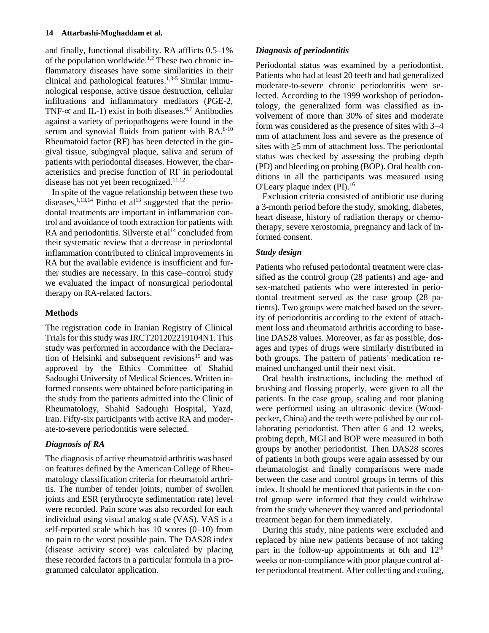and finally, functional disability. RA afflicts 0.5-1% of the population worldwide.<sup>1,2</sup> These two chronic inflammatory diseases have some similarities in their clinical and pathological features. 1,3-5 Similar immunological response, active tissue destruction, cellular infiltrations and inflammatory mediators (PGE-2, TNF- $\propto$  and IL-1) exist in both diseases.<sup>6,7</sup> Antibodies against a variety of periopathogens were found in the serum and synovial fluids from patient with RA.<sup>8-10</sup> Rheumatoid factor (RF) has been detected in the gingival tissue, subgingval plaque, saliva and serum of patients with periodontal diseases. However, the characteristics and precise function of RF in periodontal disease has not yet been recognized.<sup>11,12</sup>

In spite of the vague relationship between these two diseases,  $^{1,13,14}$  Pinho et al<sup>13</sup> suggested that the periodontal treatments are important in inflammation control and avoidance of tooth extraction for patients with RA and periodontitis. Silverste et  $al<sup>14</sup>$  concluded from their systematic review that a decrease in periodontal inflammation contributed to clinical improvements in RA but the available evidence is insufficient and further studies are necessary. In this case-control study we evaluated the impact of nonsurgical periodontal therapy on RA-related factors.

### **Methods**

The registration code in Iranian Registry of Clinical Trials for this study was IRCT201202219104N1. This study was performed in accordance with the Declaration of Helsinki and subsequent revisions<sup>15</sup> and was approved by the Ethics Committee of Shahid Sadoughi University of Medical Sciences. Written informed consents were obtained before participating in the study from the patients admitted into the Clinic of Rheumatology, Shahid Sadoughi Hospital, Yazd, Iran. Fifty-six participants with active RA and moderate-to-severe periodontitis were selected.

## *Diagnosis of RA*

The diagnosis of active rheumatoid arthritis was based on features defined by the American College of Rheumatology classification criteria for rheumatoid arthritis. The number of tender joints, number of swollen joints and ESR (erythrocyte sedimentation rate) level were recorded. Pain score was also recorded for each individual using visual analog scale (VAS). VAS is a self-reported scale which has  $10$  scores  $(0-10)$  from no pain to the worst possible pain. The DAS28 index (disease activity score) was calculated by placing these recorded factors in a particular formula in a programmed calculator application.

## *Diagnosis of periodontitis*

Periodontal status was examined by a periodontist. Patients who had at least 20 teeth and had generalized moderate-to-severe chronic periodontitis were selected. According to the 1999 workshop of periodontology, the generalized form was classified as involvement of more than 30% of sites and moderate form was considered as the presence of sites with  $3-4$ mm of attachment loss and severe as the presence of sites with  $\geq$ 5 mm of attachment loss. The periodontal status was checked by assessing the probing depth (PD) and bleeding on probing (BOP). Oral health conditions in all the participants was measured using O'Leary plaque index (PI). 16

Exclusion criteria consisted of antibiotic use during a 3-month period before the study, smoking, diabetes, heart disease, history of radiation therapy or chemotherapy, severe xerostomia, pregnancy and lack of informed consent.

## *Study design*

Patients who refused periodontal treatment were classified as the control group (28 patients) and age- and sex-matched patients who were interested in periodontal treatment served as the case group (28 patients). Two groups were matched based on the severity of periodontitis according to the extent of attachment loss and rheumatoid arthritis according to baseline DAS28 values. Moreover, as far as possible, dosages and types of drugs were similarly distributed in both groups. The pattern of patients' medication remained unchanged until their next visit.

Oral health instructions, including the method of brushing and flossing properly, were given to all the patients. In the case group, scaling and root planing were performed using an ultrasonic device (Woodpecker, China) and the teeth were polished by our collaborating periodontist. Then after 6 and 12 weeks, probing depth, MGI and BOP were measured in both groups by another periodontist. Then DAS28 scores of patients in both groups were again assessed by our rheumatologist and finally comparisons were made between the case and control groups in terms of this index. It should be mentioned that patients in the control group were informed that they could withdraw from the study whenever they wanted and periodontal treatment began for them immediately.

During this study, nine patients were excluded and replaced by nine new patients because of not taking part in the follow-up appointments at 6th and  $12<sup>th</sup>$ weeks or non-compliance with poor plaque control after periodontal treatment. After collecting and coding,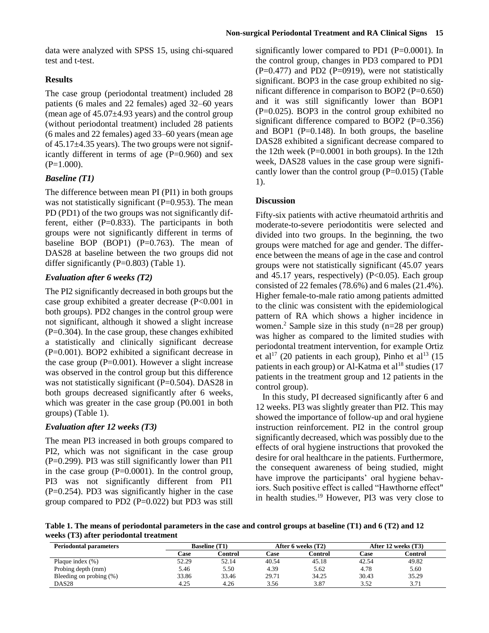data were analyzed with SPSS 15, using chi-squared test and t-test.

#### **Results**

The case group (periodontal treatment) included 28 patients (6 males and 22 females) aged 32‒60 years (mean age of  $45.07\pm4.93$  years) and the control group (without periodontal treatment) included 28 patients (6 males and 22 females) aged 33‒60 years (mean age of  $45.17\pm4.35$  years). The two groups were not significantly different in terms of age  $(P=0.960)$  and sex  $(P=1.000)$ .

#### *Baseline (T1)*

The difference between mean PI (PI1) in both groups was not statistically significant  $(P=0.953)$ . The mean PD (PD1) of the two groups was not significantly different, either  $(P=0.833)$ . The participants in both groups were not significantly different in terms of baseline BOP (BOP1)  $(P=0.763)$ . The mean of DAS28 at baseline between the two groups did not differ significantly  $(P=0.803)$  (Table 1).

### *Evaluation after 6 weeks (T2)*

The PI2 significantly decreased in both groups but the case group exhibited a greater decrease (P<0.001 in both groups). PD2 changes in the control group were not significant, although it showed a slight increase  $(P=0.304)$ . In the case group, these changes exhibited a statistically and clinically significant decrease (P=0.001). BOP2 exhibited a significant decrease in the case group  $(P=0.001)$ . However a slight increase was observed in the control group but this difference was not statistically significant (P=0.504). DAS28 in both groups decreased significantly after 6 weeks, which was greater in the case group (P0.001 in both groups) (Table 1).

#### *Evaluation after 12 weeks (T3)*

The mean PI3 increased in both groups compared to PI2, which was not significant in the case group (P=0.299). PI3 was still significantly lower than PI1 in the case group  $(P=0.0001)$ . In the control group, PI3 was not significantly different from PI1  $(P=0.254)$ . PD3 was significantly higher in the case group compared to PD2 ( $P=0.022$ ) but PD3 was still

significantly lower compared to PD1 (P=0.0001). In the control group, changes in PD3 compared to PD1  $(P=0.477)$  and PD2  $(P=0919)$ , were not statistically significant. BOP3 in the case group exhibited no significant difference in comparison to BOP2 (P=0.650) and it was still significantly lower than BOP1  $(P=0.025)$ . BOP3 in the control group exhibited no significant difference compared to BOP2 (P=0.356) and BOP1 ( $P=0.148$ ). In both groups, the baseline DAS28 exhibited a significant decrease compared to the 12th week  $(P=0.0001$  in both groups). In the 12th week, DAS28 values in the case group were significantly lower than the control group (P=0.015) (Table 1).

#### **Discussion**

Fifty-six patients with active rheumatoid arthritis and moderate-to-severe periodontitis were selected and divided into two groups. In the beginning, the two groups were matched for age and gender. The difference between the means of age in the case and control groups were not statistically significant (45.07 years and 45.17 years, respectively) ( $P<0.05$ ). Each group consisted of 22 females (78.6%) and 6 males (21.4%). Higher female-to-male ratio among patients admitted to the clinic was consistent with the epidemiological pattern of RA which shows a higher incidence in women. <sup>2</sup> Sample size in this study (n=28 per group) was higher as compared to the limited studies with periodontal treatment intervention, for example Ortiz et al<sup>17</sup> (20 patients in each group), Pinho et al<sup>13</sup> (15 patients in each group) or Al-Katma et  $al^{18}$  studies (17) patients in the treatment group and 12 patients in the control group).

In this study, PI decreased significantly after 6 and 12 weeks. PI3 was slightly greater than PI2. This may showed the importance of follow-up and oral hygiene instruction reinforcement. PI2 in the control group significantly decreased, which was possibly due to the effects of oral hygiene instructions that provoked the desire for oral healthcare in the patients. Furthermore, the consequent awareness of being studied, might have improve the participants' oral hygiene behaviors. Such positive effect is called "Hawthorne effect" in health studies. <sup>19</sup> However, PI3 was very close to

**Table 1. The means of periodontal parameters in the case and control groups at baseline (T1) and 6 (T2) and 12 weeks (T3) after periodontal treatment**

| <b>Periodontal parameters</b> | <b>Baseline</b> (T1) |         | After 6 weeks (T2) |         | After 12 weeks (T3) |         |
|-------------------------------|----------------------|---------|--------------------|---------|---------------------|---------|
|                               | Case                 | Control | Case               | Control | Case                | Control |
| Plaque index $(\%)$           | 52.29                | 52.14   | 40.54              | 45.18   | 42.54               | 49.82   |
| Probing depth (mm)            | 5.46                 | 5.50    | 4.39               | 5.62    | 4.78                | 5.60    |
| Bleeding on probing (%)       | 33.86                | 33.46   | 29.71              | 34.25   | 30.43               | 35.29   |
| DAS28                         | 4.25                 | 4.26    | 3.56               | 3.87    | 3.52                | 3.71    |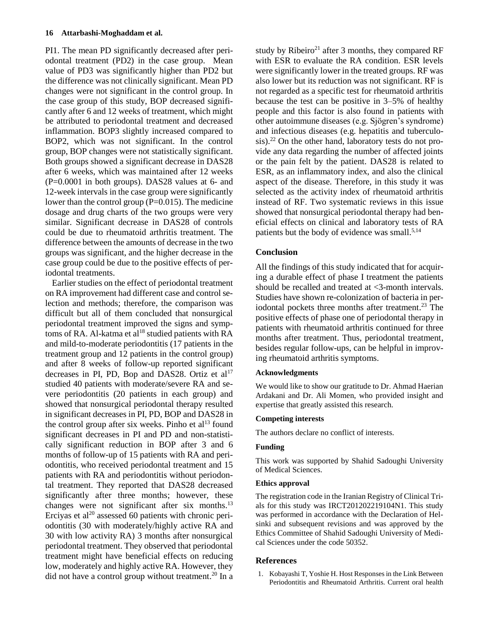#### **16 Attarbashi-Moghaddam et al.**

PI1. The mean PD significantly decreased after periodontal treatment (PD2) in the case group. Mean value of PD3 was significantly higher than PD2 but the difference was not clinically significant. Mean PD changes were not significant in the control group. In the case group of this study, BOP decreased significantly after 6 and 12 weeks of treatment, which might be attributed to periodontal treatment and decreased inflammation. BOP3 slightly increased compared to BOP2, which was not significant. In the control group, BOP changes were not statistically significant. Both groups showed a significant decrease in DAS28 after 6 weeks, which was maintained after 12 weeks (P=0.0001 in both groups). DAS28 values at 6- and 12-week intervals in the case group were significantly lower than the control group  $(P=0.015)$ . The medicine dosage and drug charts of the two groups were very similar. Significant decrease in DAS28 of controls could be due to rheumatoid arthritis treatment. The difference between the amounts of decrease in the two groups was significant, and the higher decrease in the case group could be due to the positive effects of periodontal treatments.

Earlier studies on the effect of periodontal treatment on RA improvement had different case and control selection and methods; therefore, the comparison was difficult but all of them concluded that nonsurgical periodontal treatment improved the signs and symptoms of RA. Al-katma et al<sup>18</sup> studied patients with RA and mild-to-moderate periodontitis (17 patients in the treatment group and 12 patients in the control group) and after 8 weeks of follow-up reported significant decreases in PI, PD, Bop and DAS28. Ortiz et  $al<sup>17</sup>$ studied 40 patients with moderate/severe RA and severe periodontitis (20 patients in each group) and showed that nonsurgical periodontal therapy resulted in significant decreases in PI, PD, BOP and DAS28 in the control group after six weeks. Pinho et al<sup>13</sup> found significant decreases in PI and PD and non-statistically significant reduction in BOP after 3 and 6 months of follow-up of 15 patients with RA and periodontitis, who received periodontal treatment and 15 patients with RA and periodontitis without periodontal treatment. They reported that DAS28 decreased significantly after three months; however, these changes were not significant after six months.<sup>13</sup> Erciyas et al<sup>20</sup> assessed 60 patients with chronic periodontitis (30 with moderately/highly active RA and 30 with low activity RA) 3 months after nonsurgical periodontal treatment. They observed that periodontal treatment might have beneficial effects on reducing low, moderately and highly active RA. However, they did not have a control group without treatment. <sup>20</sup> In a

study by Ribeiro<sup>21</sup> after 3 months, they compared RF with ESR to evaluate the RA condition. ESR levels were significantly lower in the treated groups. RF was also lower but its reduction was not significant. RF is not regarded as a specific test for rheumatoid arthritis because the test can be positive in 3‒5% of healthy people and this factor is also found in patients with other autoimmune diseases (e.g. Sjögren's syndrome) and infectious diseases (e.g. hepatitis and tuberculosis). <sup>22</sup> On the other hand, laboratory tests do not provide any data regarding the number of affected joints or the pain felt by the patient. DAS28 is related to ESR, as an inflammatory index, and also the clinical aspect of the disease. Therefore, in this study it was selected as the activity index of rheumatoid arthritis instead of RF. Two systematic reviews in this issue showed that nonsurgical periodontal therapy had beneficial effects on clinical and laboratory tests of RA patients but the body of evidence was small.<sup>5,14</sup>

#### **Conclusion**

All the findings of this study indicated that for acquiring a durable effect of phase I treatment the patients should be recalled and treated at <3-month intervals. Studies have shown re-colonization of bacteria in periodontal pockets three months after treatment. <sup>23</sup> The positive effects of phase one of periodontal therapy in patients with rheumatoid arthritis continued for three months after treatment. Thus, periodontal treatment, besides regular follow-ups, can be helpful in improving rheumatoid arthritis symptoms.

#### **Acknowledgments**

We would like to show our gratitude to Dr. Ahmad Haerian Ardakani and Dr. Ali Momen, who provided insight and expertise that greatly assisted this research.

#### **Competing interests**

The authors declare no conflict of interests.

#### **Funding**

This work was supported by Shahid Sadoughi University of Medical Sciences.

#### **Ethics approval**

The registration code in the Iranian Registry of Clinical Trials for this study was IRCT201202219104N1. This study was performed in accordance with the Declaration of Helsinki and subsequent revisions and was approved by the Ethics Committee of Shahid Sadoughi University of Medical Sciences under the code 50352.

#### **References**

1. Kobayashi T, Yoshie H. Host Responses in the Link Between Periodontitis and Rheumatoid Arthritis. Current oral health